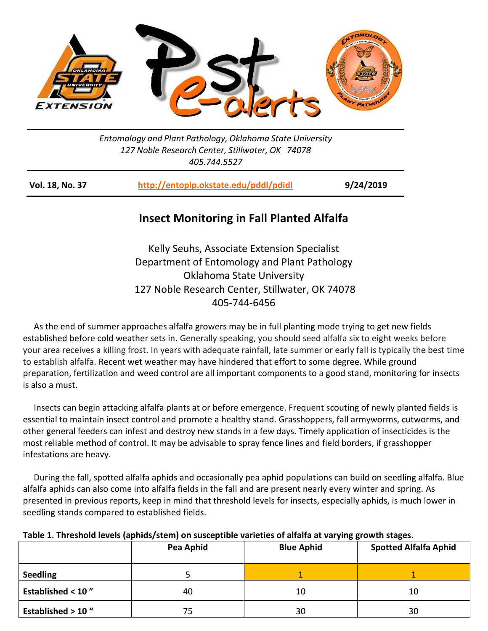

*Entomology and Plant Pathology, Oklahoma State University 127 Noble Research Center, Stillwater, OK 74078 405.744.5527*

| <b>Vol. 18, No. 37</b> | http://entoplp.okstate.edu/pddl/pdidl | 9/24/2019 |
|------------------------|---------------------------------------|-----------|
|------------------------|---------------------------------------|-----------|

## **Insect Monitoring in Fall Planted Alfalfa**

Kelly Seuhs, Associate Extension Specialist Department of Entomology and Plant Pathology Oklahoma State University 127 Noble Research Center, Stillwater, OK 74078 405-744-6456

 As the end of summer approaches alfalfa growers may be in full planting mode trying to get new fields established before cold weather sets in. Generally speaking, you should seed alfalfa six to eight weeks before your area receives a killing frost. In years with adequate rainfall, late summer or early fall is typically the best time to establish alfalfa. Recent wet weather may have hindered that effort to some degree. While ground preparation, fertilization and weed control are all important components to a good stand, monitoring for insects is also a must.

 Insects can begin attacking alfalfa plants at or before emergence. Frequent scouting of newly planted fields is essential to maintain insect control and promote a healthy stand. Grasshoppers, fall armyworms, cutworms, and other general feeders can infest and destroy new stands in a few days. Timely application of insecticides is the most reliable method of control. It may be advisable to spray fence lines and field borders, if grasshopper infestations are heavy.

 During the fall, spotted alfalfa aphids and occasionally pea aphid populations can build on seedling alfalfa. Blue alfalfa aphids can also come into alfalfa fields in the fall and are present nearly every winter and spring. As presented in previous reports, keep in mind that threshold levels for insects, especially aphids, is much lower in seedling stands compared to established fields.

| Table 1. Threshold levels (aphids/stem) on susceptible varieties of alfalfa at varying growth stages. |           |                   |                       |  |
|-------------------------------------------------------------------------------------------------------|-----------|-------------------|-----------------------|--|
|                                                                                                       | Pea Aphid | <b>Blue Aphid</b> | <b>Spotted Alfalf</b> |  |

|                              | Pea Aphid | <b>Blue Aphid</b> | <b>Spotted Alfalfa Aphid</b> |
|------------------------------|-----------|-------------------|------------------------------|
| <b>Seedling</b>              |           |                   |                              |
| <b>Established &lt; 10"</b>  | 40        | 10                | 10                           |
| <b>Established &gt; 10 "</b> | 75        | 30                | 30                           |